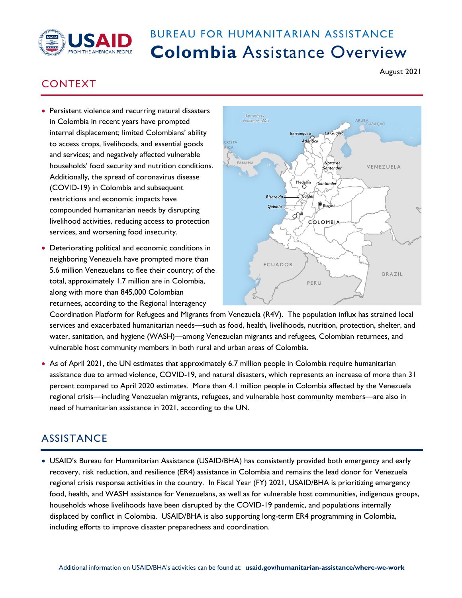

## BUREAU FOR HUMANITARIAN ASSISTANCE **Colombia** Assistance Overview

## CONTEXT

- Persistent violence and recurring natural disasters in Colombia in recent years have prompted internal displacement; limited Colombians' ability to access crops, livelihoods, and essential goods and services; and negatively affected vulnerable households' food security and nutrition conditions. Additionally, the spread of coronavirus disease (COVID-19) in Colombia and subsequent restrictions and economic impacts have compounded humanitarian needs by disrupting livelihood activities, reducing access to protection services, and worsening food insecurity.
- Deteriorating political and economic conditions in neighboring Venezuela have prompted more than 5.6 million Venezuelans to flee their country; of the total, approximately 1.7 million are in Colombia, along with more than 845,000 Colombian returnees, according to the Regional Interagency



Coordination Platform for Refugees and Migrants from Venezuela (R4V). The population influx has strained local services and exacerbated humanitarian needs—such as food, health, livelihoods, nutrition, protection, shelter, and water, sanitation, and hygiene (WASH)—among Venezuelan migrants and refugees, Colombian returnees, and vulnerable host community members in both rural and urban areas of Colombia.

• As of April 2021, the UN estimates that approximately 6.7 million people in Colombia require humanitarian assistance due to armed violence, COVID-19, and natural disasters, which represents an increase of more than 31 percent compared to April 2020 estimates. More than 4.1 million people in Colombia affected by the Venezuela regional crisis—including Venezuelan migrants, refugees, and vulnerable host community members—are also in need of humanitarian assistance in 2021, according to the UN.

## **ASSISTANCE**

• USAID's Bureau for Humanitarian Assistance (USAID/BHA) has consistently provided both emergency and early recovery, risk reduction, and resilience (ER4) assistance in Colombia and remains the lead donor for Venezuela regional crisis response activities in the country. In Fiscal Year (FY) 2021, USAID/BHA is prioritizing emergency food, health, and WASH assistance for Venezuelans, as well as for vulnerable host communities, indigenous groups, households whose livelihoods have been disrupted by the COVID-19 pandemic, and populations internally displaced by conflict in Colombia. USAID/BHA is also supporting long-term ER4 programming in Colombia, including efforts to improve disaster preparedness and coordination.